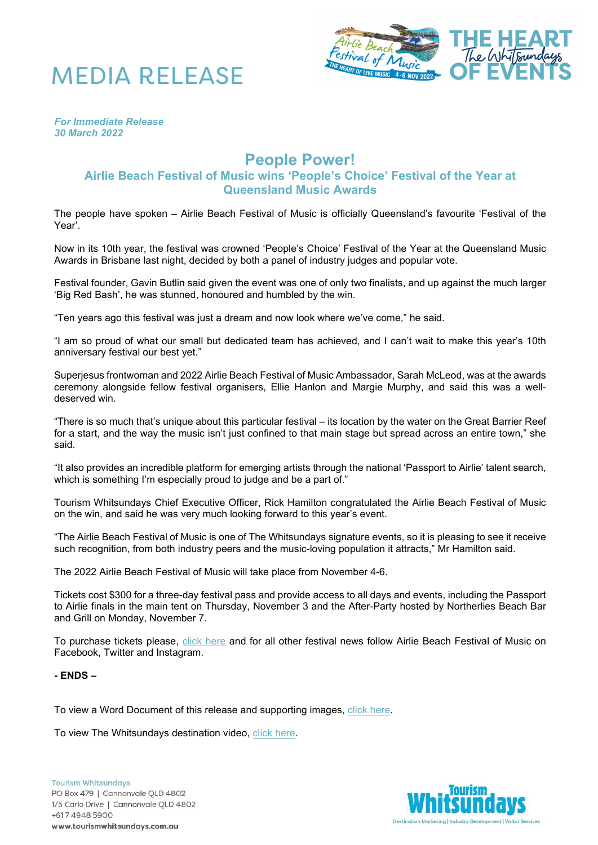



*For Immediate Release 30 March 2022*

## **People Power!**

## **Airlie Beach Festival of Music wins 'People's Choice' Festival of the Year at Queensland Music Awards**

The people have spoken – Airlie Beach Festival of Music is officially Queensland's favourite 'Festival of the Year'.

Now in its 10th year, the festival was crowned 'People's Choice' Festival of the Year at the Queensland Music Awards in Brisbane last night, decided by both a panel of industry judges and popular vote.

Festival founder, Gavin Butlin said given the event was one of only two finalists, and up against the much larger 'Big Red Bash', he was stunned, honoured and humbled by the win.

"Ten years ago this festival was just a dream and now look where we've come," he said.

"I am so proud of what our small but dedicated team has achieved, and I can't wait to make this year's 10th anniversary festival our best yet."

Superjesus frontwoman and 2022 Airlie Beach Festival of Music Ambassador, Sarah McLeod, was at the awards ceremony alongside fellow festival organisers, Ellie Hanlon and Margie Murphy, and said this was a welldeserved win.

"There is so much that's unique about this particular festival – its location by the water on the Great Barrier Reef for a start, and the way the music isn't just confined to that main stage but spread across an entire town," she said.

"It also provides an incredible platform for emerging artists through the national 'Passport to Airlie' talent search, which is something I'm especially proud to judge and be a part of."

Tourism Whitsundays Chief Executive Officer, Rick Hamilton congratulated the Airlie Beach Festival of Music on the win, and said he was very much looking forward to this year's event.

"The Airlie Beach Festival of Music is one of The Whitsundays signature events, so it is pleasing to see it receive such recognition, from both industry peers and the music-loving population it attracts," Mr Hamilton said.

The 2022 Airlie Beach Festival of Music will take place from November 4-6.

Tickets cost \$300 for a three-day festival pass and provide access to all days and events, including the Passport to Airlie finals in the main tent on Thursday, November 3 and the After-Party hosted by Northerlies Beach Bar and Grill on Monday, November 7.

To purchase tickets please, [click here](https://www.airliebeachfestivalofmusic.com.au/) and for all other festival news follow Airlie Beach Festival of Music on Facebook, Twitter and Instagram.

## **- ENDS –**

To view a Word Document of this release and supporting images, [click here.](https://www.dropbox.com/sh/j90ldj07m0t0trz/AACu786EYcI4CSbCqKc7o7jka?dl=0)

To view The Whitsundays destination video, [click here.](https://www.youtube.com/watch?v=R3JYNCduZko)